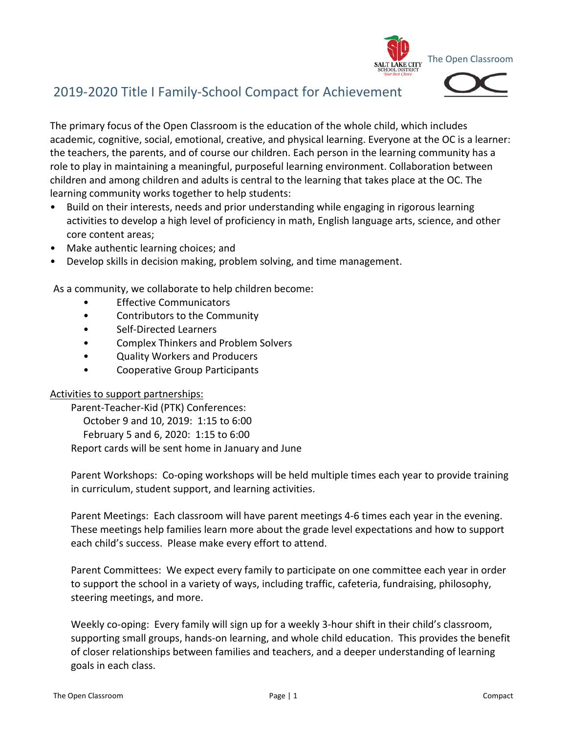

## 2019-2020 Title I Family-School Compact for Achievement

The primary focus of the Open Classroom is the education of the whole child, which includes academic, cognitive, social, emotional, creative, and physical learning. Everyone at the OC is a learner: the teachers, the parents, and of course our children. Each person in the learning community has a role to play in maintaining a meaningful, purposeful learning environment. Collaboration between children and among children and adults is central to the learning that takes place at the OC. The learning community works together to help students:

- Build on their interests, needs and prior understanding while engaging in rigorous learning activities to develop a high level of proficiency in math, English language arts, science, and other core content areas;
- Make authentic learning choices; and
- Develop skills in decision making, problem solving, and time management.

As a community, we collaborate to help children become:

- **Effective Communicators**
- Contributors to the Community
- Self-Directed Learners
- Complex Thinkers and Problem Solvers
- Quality Workers and Producers
- Cooperative Group Participants

## Activities to support partnerships:

Parent-Teacher-Kid (PTK) Conferences: October 9 and 10, 2019: 1:15 to 6:00 February 5 and 6, 2020: 1:15 to 6:00 Report cards will be sent home in January and June

Parent Workshops: Co-oping workshops will be held multiple times each year to provide training in curriculum, student support, and learning activities.

Parent Meetings: Each classroom will have parent meetings 4-6 times each year in the evening. These meetings help families learn more about the grade level expectations and how to support each child's success. Please make every effort to attend.

Parent Committees: We expect every family to participate on one committee each year in order to support the school in a variety of ways, including traffic, cafeteria, fundraising, philosophy, steering meetings, and more.

Weekly co-oping: Every family will sign up for a weekly 3-hour shift in their child's classroom, supporting small groups, hands-on learning, and whole child education. This provides the benefit of closer relationships between families and teachers, and a deeper understanding of learning goals in each class.